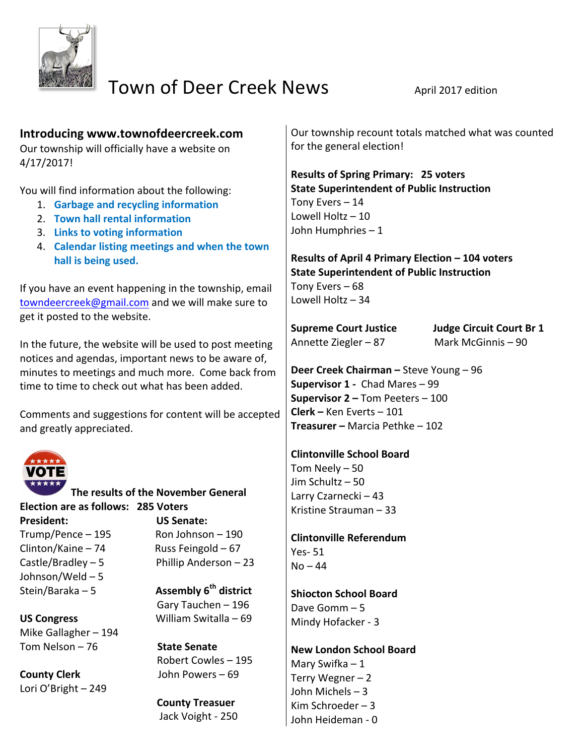

# Town of Deer Creek News April 2017 edition

# **Introducing www.townofdeercreek.com**

Our township will officially have a website on 4/17/2017! 

You will find information about the following:

- 1. **Garbage and recycling information**
- **2. Town hall rental information**
- **3.** Links to voting information
- 4. Calendar listing meetings and when the town hall is being used.

If you have an event happening in the township, email towndeercreek@gmail.com and we will make sure to get it posted to the website.

In the future, the website will be used to post meeting notices and agendas, important news to be aware of, minutes to meetings and much more. Come back from time to time to check out what has been added.

Comments and suggestions for content will be accepted and greatly appreciated.



**The results of the November General Election are as follows: 285 Voters President: CONSIDENT: US Senate:**  $Trump/Pence - 195$  Ron Johnson – 190  $Clinton/Kaine - 74$  Russ Feingold - 67

Johnson/Weld  $-5$ 

Mike Gallagher - 194 Tom Nelson – 76 **State Senate** 

**County Clerk Soluty** John Powers – 69 Lori O'Bright - 249

Castle/Bradley  $-5$  Phillip Anderson  $-23$ 

Stein/Baraka – 5 **Assembly 6<sup>th</sup> district** Gary Tauchen – 196 US Congress **William Switalla** – 69

Robert Cowles – 195

**County Treasuer** Jack Voight - 250

Our township recount totals matched what was counted for the general election!

**Results of Spring Primary: 25 voters State Superintendent of Public Instruction** Tony Evers  $-14$ Lowell  $Holtz - 10$ John Humphries  $-1$ 

**Results of April 4 Primary Election - 104 voters State Superintendent of Public Instruction** Tony Evers  $-68$ Lowell  $Holtz - 34$ 

Annette Ziegler  $-87$  Mark McGinnis  $-90$ 

**Supreme Court Justice Judge Circuit Court Br 1** 

**Deer Creek Chairman – Steve Young – 96 Supervisor 1 - Chad Mares – 99 Supervisor 2 – Tom Peeters – 100 Clerk –** Ken Everts – 101 **Treasurer – Marcia Pethke – 102** 

**Clintonville School Board** Tom Neely  $-50$ Jim Schultz – 50 Larry Czarnecki – 43 Kristine Strauman – 33

**Clintonville Referendum**  Yes- 51  $No - 44$ 

**Shiocton School Board** Dave Gomm $-5$ Mindy Hofacker - 3

**New London School Board** Mary Swifka  $-1$ Terry Wegner  $-2$ John Michels - 3 Kim Schroeder  $-3$ John Heideman - 0